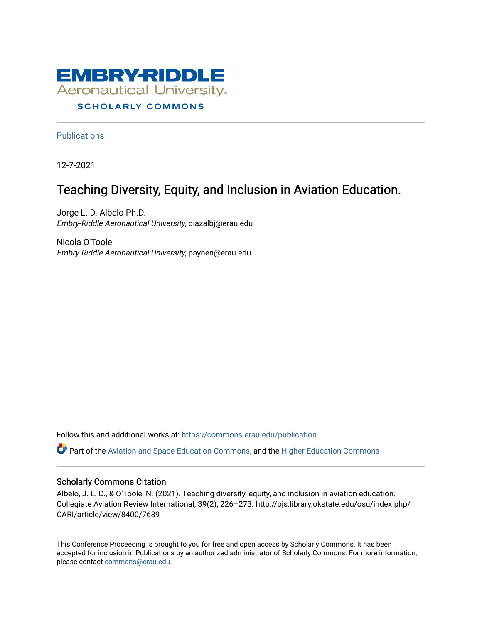

# **SCHOLARLY COMMONS**

**Publications** 

12-7-2021

# Teaching Diversity, Equity, and Inclusion in Aviation Education.

Jorge L. D. Albelo Ph.D. Embry-Riddle Aeronautical University, diazalbj@erau.edu

Nicola O'Toole Embry-Riddle Aeronautical University, paynen@erau.edu

Follow this and additional works at: [https://commons.erau.edu/publication](https://commons.erau.edu/publication?utm_source=commons.erau.edu%2Fpublication%2F1688&utm_medium=PDF&utm_campaign=PDFCoverPages) 

Part of the [Aviation and Space Education Commons,](http://network.bepress.com/hgg/discipline/1370?utm_source=commons.erau.edu%2Fpublication%2F1688&utm_medium=PDF&utm_campaign=PDFCoverPages) and the [Higher Education Commons](http://network.bepress.com/hgg/discipline/1245?utm_source=commons.erau.edu%2Fpublication%2F1688&utm_medium=PDF&utm_campaign=PDFCoverPages)

# Scholarly Commons Citation

Albelo, J. L. D., & O'Toole, N. (2021). Teaching diversity, equity, and inclusion in aviation education. Collegiate Aviation Review International, 39(2), 226–273. http://ojs.library.okstate.edu/osu/index.php/ CARI/article/view/8400/7689

This Conference Proceeding is brought to you for free and open access by Scholarly Commons. It has been accepted for inclusion in Publications by an authorized administrator of Scholarly Commons. For more information, please contact [commons@erau.edu](mailto:commons@erau.edu).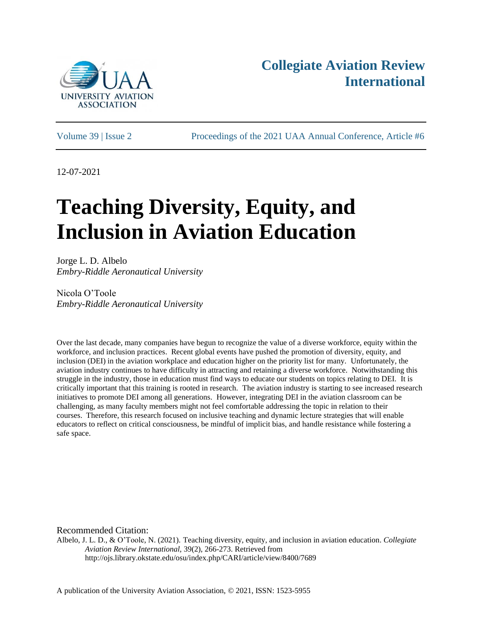

# **Collegiate Aviation Review International**

Volume 39 | Issue 2 Proceedings of the 2021 UAA Annual Conference, Article #6

12-07-2021

# **Teaching Diversity, Equity, and Inclusion in Aviation Education**

Jorge L. D. Albelo *Embry-Riddle Aeronautical University*

Nicola O'Toole *Embry-Riddle Aeronautical University*

Over the last decade, many companies have begun to recognize the value of a diverse workforce, equity within the workforce, and inclusion practices. Recent global events have pushed the promotion of diversity, equity, and inclusion (DEI) in the aviation workplace and education higher on the priority list for many. Unfortunately, the aviation industry continues to have difficulty in attracting and retaining a diverse workforce. Notwithstanding this struggle in the industry, those in education must find ways to educate our students on topics relating to DEI. It is critically important that this training is rooted in research. The aviation industry is starting to see increased research initiatives to promote DEI among all generations. However, integrating DEI in the aviation classroom can be challenging, as many faculty members might not feel comfortable addressing the topic in relation to their courses. Therefore, this research focused on inclusive teaching and dynamic lecture strategies that will enable educators to reflect on critical consciousness, be mindful of implicit bias, and handle resistance while fostering a safe space.

Recommended Citation:

Albelo, J. L. D., & O'Toole, N. (2021). Teaching diversity, equity, and inclusion in aviation education. *Collegiate Aviation Review International,* 39(2), 266-273. Retrieved from http://ojs.library.okstate.edu/osu/index.php/CARI/article/view/8400/7689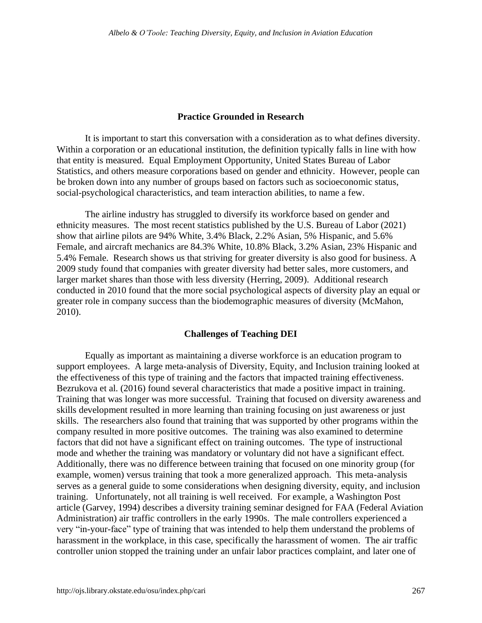#### **Practice Grounded in Research**

It is important to start this conversation with a consideration as to what defines diversity. Within a corporation or an educational institution, the definition typically falls in line with how that entity is measured. Equal Employment Opportunity, United States Bureau of Labor Statistics, and others measure corporations based on gender and ethnicity. However, people can be broken down into any number of groups based on factors such as socioeconomic status, social-psychological characteristics, and team interaction abilities, to name a few.

The airline industry has struggled to diversify its workforce based on gender and ethnicity measures. The most recent statistics published by the U.S. Bureau of Labor (2021) show that airline pilots are 94% White, 3.4% Black, 2.2% Asian, 5% Hispanic, and 5.6% Female, and aircraft mechanics are 84.3% White, 10.8% Black, 3.2% Asian, 23% Hispanic and 5.4% Female. Research shows us that striving for greater diversity is also good for business. A 2009 study found that companies with greater diversity had better sales, more customers, and larger market shares than those with less diversity (Herring, 2009). Additional research conducted in 2010 found that the more social psychological aspects of diversity play an equal or greater role in company success than the biodemographic measures of diversity (McMahon, 2010).

#### **Challenges of Teaching DEI**

Equally as important as maintaining a diverse workforce is an education program to support employees. A large meta-analysis of Diversity, Equity, and Inclusion training looked at the effectiveness of this type of training and the factors that impacted training effectiveness. Bezrukova et al. (2016) found several characteristics that made a positive impact in training. Training that was longer was more successful. Training that focused on diversity awareness and skills development resulted in more learning than training focusing on just awareness or just skills. The researchers also found that training that was supported by other programs within the company resulted in more positive outcomes. The training was also examined to determine factors that did not have a significant effect on training outcomes. The type of instructional mode and whether the training was mandatory or voluntary did not have a significant effect. Additionally, there was no difference between training that focused on one minority group (for example, women) versus training that took a more generalized approach. This meta-analysis serves as a general guide to some considerations when designing diversity, equity, and inclusion training. Unfortunately, not all training is well received. For example, a Washington Post article (Garvey, 1994) describes a diversity training seminar designed for FAA (Federal Aviation Administration) air traffic controllers in the early 1990s. The male controllers experienced a very "in-your-face" type of training that was intended to help them understand the problems of harassment in the workplace, in this case, specifically the harassment of women. The air traffic controller union stopped the training under an unfair labor practices complaint, and later one of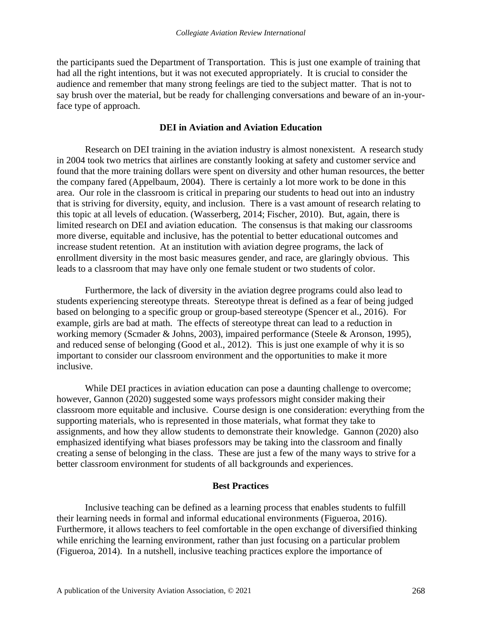the participants sued the Department of Transportation. This is just one example of training that had all the right intentions, but it was not executed appropriately. It is crucial to consider the audience and remember that many strong feelings are tied to the subject matter. That is not to say brush over the material, but be ready for challenging conversations and beware of an in-yourface type of approach.

#### **DEI in Aviation and Aviation Education**

Research on DEI training in the aviation industry is almost nonexistent. A research study in 2004 took two metrics that airlines are constantly looking at safety and customer service and found that the more training dollars were spent on diversity and other human resources, the better the company fared (Appelbaum, 2004). There is certainly a lot more work to be done in this area. Our role in the classroom is critical in preparing our students to head out into an industry that is striving for diversity, equity, and inclusion. There is a vast amount of research relating to this topic at all levels of education. (Wasserberg, 2014; Fischer, 2010). But, again, there is limited research on DEI and aviation education. The consensus is that making our classrooms more diverse, equitable and inclusive, has the potential to better educational outcomes and increase student retention. At an institution with aviation degree programs, the lack of enrollment diversity in the most basic measures gender, and race, are glaringly obvious. This leads to a classroom that may have only one female student or two students of color.

Furthermore, the lack of diversity in the aviation degree programs could also lead to students experiencing stereotype threats. Stereotype threat is defined as a fear of being judged based on belonging to a specific group or group-based stereotype (Spencer et al., 2016). For example, girls are bad at math. The effects of stereotype threat can lead to a reduction in working memory (Scmader & Johns, 2003), impaired performance (Steele & Aronson, 1995), and reduced sense of belonging (Good et al., 2012). This is just one example of why it is so important to consider our classroom environment and the opportunities to make it more inclusive.

While DEI practices in aviation education can pose a daunting challenge to overcome; however, Gannon (2020) suggested some ways professors might consider making their classroom more equitable and inclusive. Course design is one consideration: everything from the supporting materials, who is represented in those materials, what format they take to assignments, and how they allow students to demonstrate their knowledge. Gannon (2020) also emphasized identifying what biases professors may be taking into the classroom and finally creating a sense of belonging in the class. These are just a few of the many ways to strive for a better classroom environment for students of all backgrounds and experiences.

#### **Best Practices**

Inclusive teaching can be defined as a learning process that enables students to fulfill their learning needs in formal and informal educational environments (Figueroa, 2016). Furthermore, it allows teachers to feel comfortable in the open exchange of diversified thinking while enriching the learning environment, rather than just focusing on a particular problem (Figueroa, 2014). In a nutshell, inclusive teaching practices explore the importance of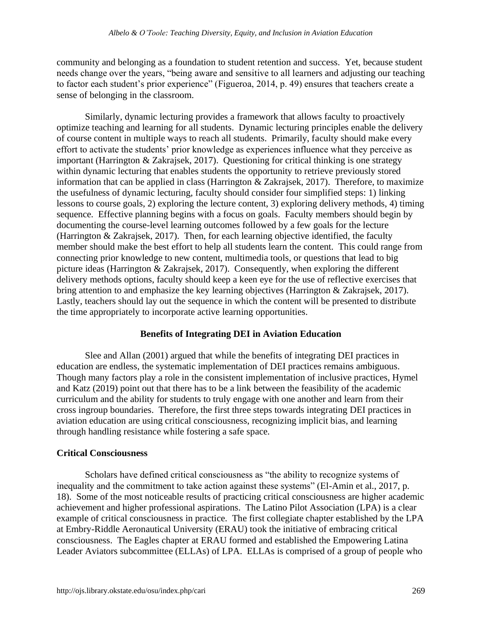community and belonging as a foundation to student retention and success. Yet, because student needs change over the years, "being aware and sensitive to all learners and adjusting our teaching to factor each student's prior experience" (Figueroa, 2014, p. 49) ensures that teachers create a sense of belonging in the classroom.

Similarly, dynamic lecturing provides a framework that allows faculty to proactively optimize teaching and learning for all students. Dynamic lecturing principles enable the delivery of course content in multiple ways to reach all students. Primarily, faculty should make every effort to activate the students' prior knowledge as experiences influence what they perceive as important (Harrington & Zakrajsek, 2017). Questioning for critical thinking is one strategy within dynamic lecturing that enables students the opportunity to retrieve previously stored information that can be applied in class (Harrington & Zakrajsek, 2017). Therefore, to maximize the usefulness of dynamic lecturing, faculty should consider four simplified steps: 1) linking lessons to course goals, 2) exploring the lecture content, 3) exploring delivery methods, 4) timing sequence. Effective planning begins with a focus on goals. Faculty members should begin by documenting the course-level learning outcomes followed by a few goals for the lecture (Harrington & Zakrajsek, 2017). Then, for each learning objective identified, the faculty member should make the best effort to help all students learn the content. This could range from connecting prior knowledge to new content, multimedia tools, or questions that lead to big picture ideas (Harrington & Zakrajsek, 2017). Consequently, when exploring the different delivery methods options, faculty should keep a keen eye for the use of reflective exercises that bring attention to and emphasize the key learning objectives (Harrington & Zakrajsek, 2017). Lastly, teachers should lay out the sequence in which the content will be presented to distribute the time appropriately to incorporate active learning opportunities.

# **Benefits of Integrating DEI in Aviation Education**

Slee and Allan (2001) argued that while the benefits of integrating DEI practices in education are endless, the systematic implementation of DEI practices remains ambiguous. Though many factors play a role in the consistent implementation of inclusive practices, Hymel and Katz (2019) point out that there has to be a link between the feasibility of the academic curriculum and the ability for students to truly engage with one another and learn from their cross ingroup boundaries. Therefore, the first three steps towards integrating DEI practices in aviation education are using critical consciousness, recognizing implicit bias, and learning through handling resistance while fostering a safe space.

# **Critical Consciousness**

Scholars have defined critical consciousness as "the ability to recognize systems of inequality and the commitment to take action against these systems" (El-Amin et al., 2017, p. 18). Some of the most noticeable results of practicing critical consciousness are higher academic achievement and higher professional aspirations. The Latino Pilot Association (LPA) is a clear example of critical consciousness in practice. The first collegiate chapter established by the LPA at Embry-Riddle Aeronautical University (ERAU) took the initiative of embracing critical consciousness. The Eagles chapter at ERAU formed and established the Empowering Latina Leader Aviators subcommittee (ELLAs) of LPA. ELLAs is comprised of a group of people who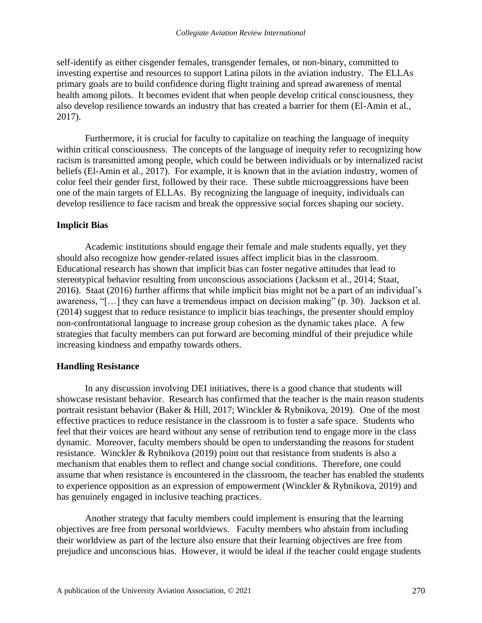self-identify as either cisgender females, transgender females, or non-binary, committed to investing expertise and resources to support Latina pilots in the aviation industry. The ELLAs primary goals are to build confidence during flight training and spread awareness of mental health among pilots. It becomes evident that when people develop critical consciousness, they also develop resilience towards an industry that has created a barrier for them (El-Amin et al., 2017).

Furthermore, it is crucial for faculty to capitalize on teaching the language of inequity within critical consciousness. The concepts of the language of inequity refer to recognizing how racism is transmitted among people, which could be between individuals or by internalized racist beliefs (El-Amin et al., 2017). For example, it is known that in the aviation industry, women of color feel their gender first, followed by their race. These subtle microaggressions have been one of the main targets of ELLAs. By recognizing the language of inequity, individuals can develop resilience to face racism and break the oppressive social forces shaping our society.

#### **Implicit Bias**

Academic institutions should engage their female and male students equally, yet they should also recognize how gender-related issues affect implicit bias in the classroom. Educational research has shown that implicit bias can foster negative attitudes that lead to stereotypical behavior resulting from unconscious associations (Jackson et al., 2014; Staat, 2016). Staat (2016) further affirms that while implicit bias might not be a part of an individual's awareness, "[…] they can have a tremendous impact on decision making" (p. 30). Jackson et al. (2014) suggest that to reduce resistance to implicit bias teachings, the presenter should employ non-confrontational language to increase group cohesion as the dynamic takes place. A few strategies that faculty members can put forward are becoming mindful of their prejudice while increasing kindness and empathy towards others.

#### **Handling Resistance**

In any discussion involving DEI initiatives, there is a good chance that students will showcase resistant behavior. Research has confirmed that the teacher is the main reason students portrait resistant behavior (Baker & Hill, 2017; Winckler & Rybnikova, 2019). One of the most effective practices to reduce resistance in the classroom is to foster a safe space. Students who feel that their voices are heard without any sense of retribution tend to engage more in the class dynamic. Moreover, faculty members should be open to understanding the reasons for student resistance. Winckler & Rybnikova (2019) point out that resistance from students is also a mechanism that enables them to reflect and change social conditions. Therefore, one could assume that when resistance is encountered in the classroom, the teacher has enabled the students to experience opposition as an expression of empowerment (Winckler & Rybnikova, 2019) and has genuinely engaged in inclusive teaching practices.

Another strategy that faculty members could implement is ensuring that the learning objectives are free from personal worldviews. Faculty members who abstain from including their worldview as part of the lecture also ensure that their learning objectives are free from prejudice and unconscious bias. However, it would be ideal if the teacher could engage students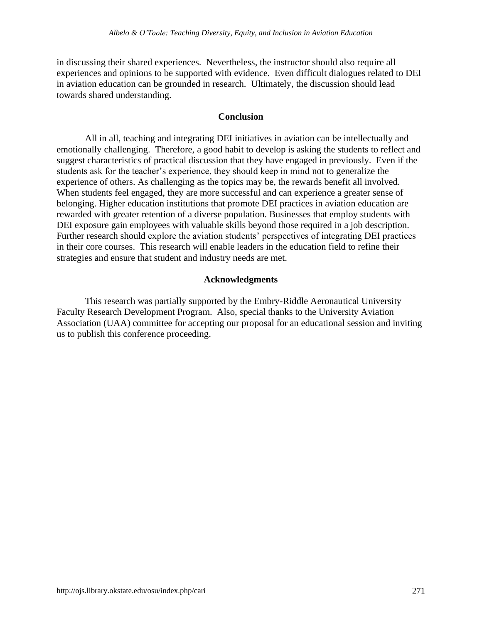in discussing their shared experiences. Nevertheless, the instructor should also require all experiences and opinions to be supported with evidence. Even difficult dialogues related to DEI in aviation education can be grounded in research. Ultimately, the discussion should lead towards shared understanding.

# **Conclusion**

All in all, teaching and integrating DEI initiatives in aviation can be intellectually and emotionally challenging. Therefore, a good habit to develop is asking the students to reflect and suggest characteristics of practical discussion that they have engaged in previously. Even if the students ask for the teacher's experience, they should keep in mind not to generalize the experience of others. As challenging as the topics may be, the rewards benefit all involved. When students feel engaged, they are more successful and can experience a greater sense of belonging. Higher education institutions that promote DEI practices in aviation education are rewarded with greater retention of a diverse population. Businesses that employ students with DEI exposure gain employees with valuable skills beyond those required in a job description. Further research should explore the aviation students' perspectives of integrating DEI practices in their core courses. This research will enable leaders in the education field to refine their strategies and ensure that student and industry needs are met.

# **Acknowledgments**

This research was partially supported by the Embry-Riddle Aeronautical University Faculty Research Development Program. Also, special thanks to the University Aviation Association (UAA) committee for accepting our proposal for an educational session and inviting us to publish this conference proceeding.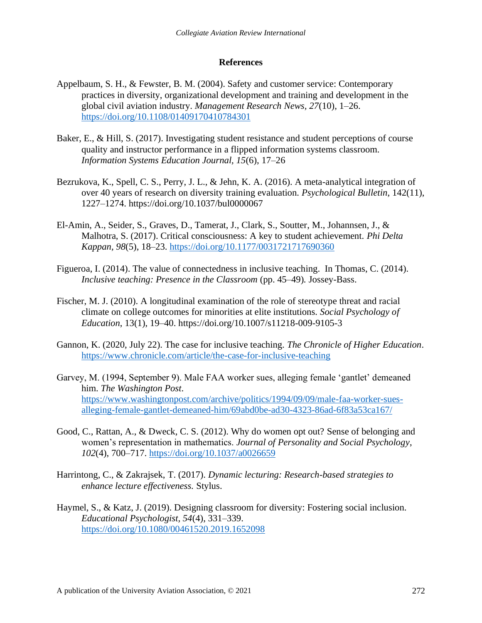# **References**

- Appelbaum, S. H., & Fewster, B. M. (2004). Safety and customer service: Contemporary practices in diversity, organizational development and training and development in the global civil aviation industry. *Management Research News, 27*(10), 1–26. <https://doi.org/10.1108/01409170410784301>
- Baker, E., & Hill, S. (2017). Investigating student resistance and student perceptions of course quality and instructor performance in a flipped information systems classroom. *Information Systems Education Journal, 15*(6), 17–26
- Bezrukova, K., Spell, C. S., Perry, J. L., & Jehn, K. A. (2016). A meta-analytical integration of over 40 years of research on diversity training evaluation*. Psychological Bulletin*, 142(11), 1227–1274. https://doi.org/10.1037/bul0000067
- El-Amin, A., Seider, S., Graves, D., Tamerat, J., Clark, S., Soutter, M., Johannsen, J., & Malhotra, S. (2017). Critical consciousness: A key to student achievement. *Phi Delta Kappan, 98*(5), 18–23.<https://doi.org/10.1177/0031721717690360>
- Figueroa, I. (2014). The value of connectedness in inclusive teaching. In Thomas, C. (2014). *Inclusive teaching: Presence in the Classroom* (pp. 45–49)*.* Jossey-Bass.
- Fischer, M. J. (2010). A longitudinal examination of the role of stereotype threat and racial climate on college outcomes for minorities at elite institutions*. Social Psychology of Education*, 13(1), 19–40. https://doi.org/10.1007/s11218-009-9105-3
- Gannon, K. (2020, July 22). The case for inclusive teaching. *The Chronicle of Higher Education*. <https://www.chronicle.com/article/the-case-for-inclusive-teaching>
- Garvey, M. (1994, September 9). Male FAA worker sues, alleging female 'gantlet' demeaned him. *The Washington Post*. [https://www.washingtonpost.com/archive/politics/1994/09/09/male-faa-worker-sues](https://www.washingtonpost.com/archive/politics/1994/09/09/male-faa-worker-sues-alleging-female-gantlet-demeaned-him/69abd0be-ad30-4323-86ad-6f83a53ca167/)[alleging-female-gantlet-demeaned-him/69abd0be-ad30-4323-86ad-6f83a53ca167/](https://www.washingtonpost.com/archive/politics/1994/09/09/male-faa-worker-sues-alleging-female-gantlet-demeaned-him/69abd0be-ad30-4323-86ad-6f83a53ca167/)
- Good, C., Rattan, A., & Dweck, C. S. (2012). Why do women opt out? Sense of belonging and women's representation in mathematics. *Journal of Personality and Social Psychology*, *102*(4), 700–717.<https://doi.org/10.1037/a0026659>
- Harrintong, C., & Zakrajsek, T. (2017). *Dynamic lecturing: Research-based strategies to enhance lecture effectiveness.* Stylus.
- Haymel, S., & Katz, J. (2019). Designing classroom for diversity: Fostering social inclusion. *Educational Psychologist, 54*(4), 331–339. <https://doi.org/10.1080/00461520.2019.1652098>